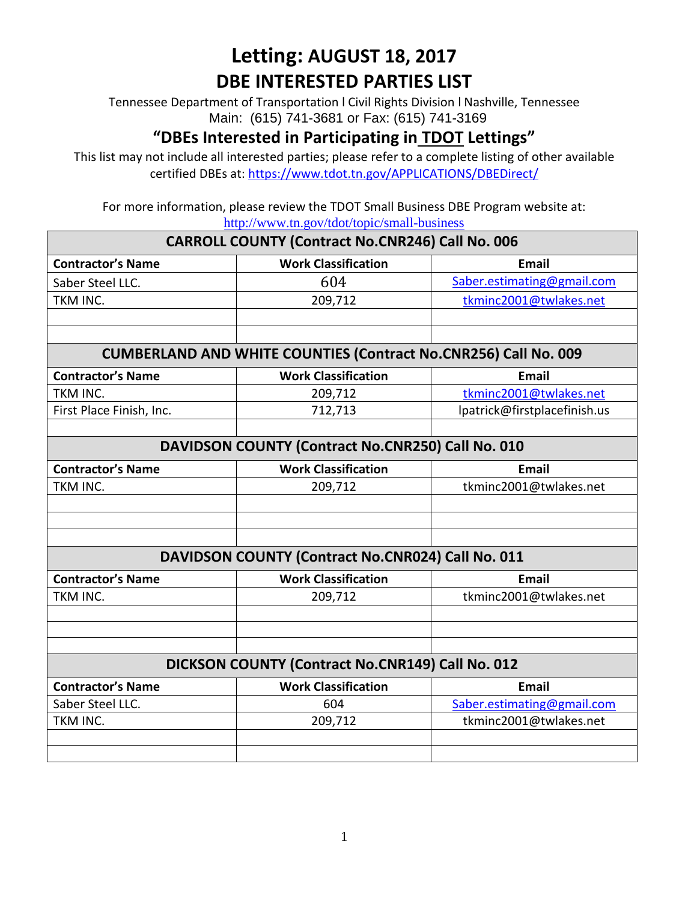Tennessee Department of Transportation l Civil Rights Division l Nashville, Tennessee Main: (615) 741-3681 or Fax: (615) 741-3169

#### **"DBEs Interested in Participating in TDOT Lettings"**

This list may not include all interested parties; please refer to a complete listing of other available certified DBEs at:<https://www.tdot.tn.gov/APPLICATIONS/DBEDirect/>

For more information, please review the TDOT Small Business DBE Program website at: <http://www.tn.gov/tdot/topic/small-business>

|                                                                        | $\mathbf{H}(\mathbf{Q},t)$ is a set of $\mathbf{H}(\mathbf{Q},t)$ and $\mathbf{H}(\mathbf{Q},t)$ is $\mathbf{H}(\mathbf{Q},t)$ |                              |  |  |
|------------------------------------------------------------------------|--------------------------------------------------------------------------------------------------------------------------------|------------------------------|--|--|
| <b>CARROLL COUNTY (Contract No.CNR246) Call No. 006</b>                |                                                                                                                                |                              |  |  |
| <b>Contractor's Name</b>                                               | <b>Work Classification</b>                                                                                                     | <b>Email</b>                 |  |  |
| Saber Steel LLC.                                                       | 604                                                                                                                            | Saber.estimating@gmail.com   |  |  |
| TKM INC.                                                               | 209,712                                                                                                                        | tkminc2001@twlakes.net       |  |  |
|                                                                        |                                                                                                                                |                              |  |  |
|                                                                        |                                                                                                                                |                              |  |  |
| <b>CUMBERLAND AND WHITE COUNTIES (Contract No.CNR256) Call No. 009</b> |                                                                                                                                |                              |  |  |
| <b>Contractor's Name</b>                                               | <b>Work Classification</b>                                                                                                     | <b>Email</b>                 |  |  |
| TKM INC.                                                               | 209,712                                                                                                                        | tkminc2001@twlakes.net       |  |  |
| First Place Finish, Inc.                                               | 712,713                                                                                                                        | lpatrick@firstplacefinish.us |  |  |
|                                                                        |                                                                                                                                |                              |  |  |
| DAVIDSON COUNTY (Contract No.CNR250) Call No. 010                      |                                                                                                                                |                              |  |  |
| <b>Contractor's Name</b>                                               | <b>Work Classification</b>                                                                                                     | <b>Email</b>                 |  |  |
| TKM INC.                                                               | 209,712                                                                                                                        | tkminc2001@twlakes.net       |  |  |
|                                                                        |                                                                                                                                |                              |  |  |
|                                                                        |                                                                                                                                |                              |  |  |
|                                                                        |                                                                                                                                |                              |  |  |
| DAVIDSON COUNTY (Contract No.CNR024) Call No. 011                      |                                                                                                                                |                              |  |  |
| <b>Contractor's Name</b>                                               | <b>Work Classification</b>                                                                                                     | <b>Email</b>                 |  |  |
| TKM INC.                                                               | 209,712                                                                                                                        | tkminc2001@twlakes.net       |  |  |
|                                                                        |                                                                                                                                |                              |  |  |
|                                                                        |                                                                                                                                |                              |  |  |
|                                                                        |                                                                                                                                |                              |  |  |
| DICKSON COUNTY (Contract No.CNR149) Call No. 012                       |                                                                                                                                |                              |  |  |
| <b>Contractor's Name</b>                                               | <b>Work Classification</b>                                                                                                     | <b>Email</b>                 |  |  |
| Saber Steel LLC.                                                       | 604                                                                                                                            | Saber.estimating@gmail.com   |  |  |
| TKM INC.                                                               | 209,712                                                                                                                        | tkminc2001@twlakes.net       |  |  |
|                                                                        |                                                                                                                                |                              |  |  |
|                                                                        |                                                                                                                                |                              |  |  |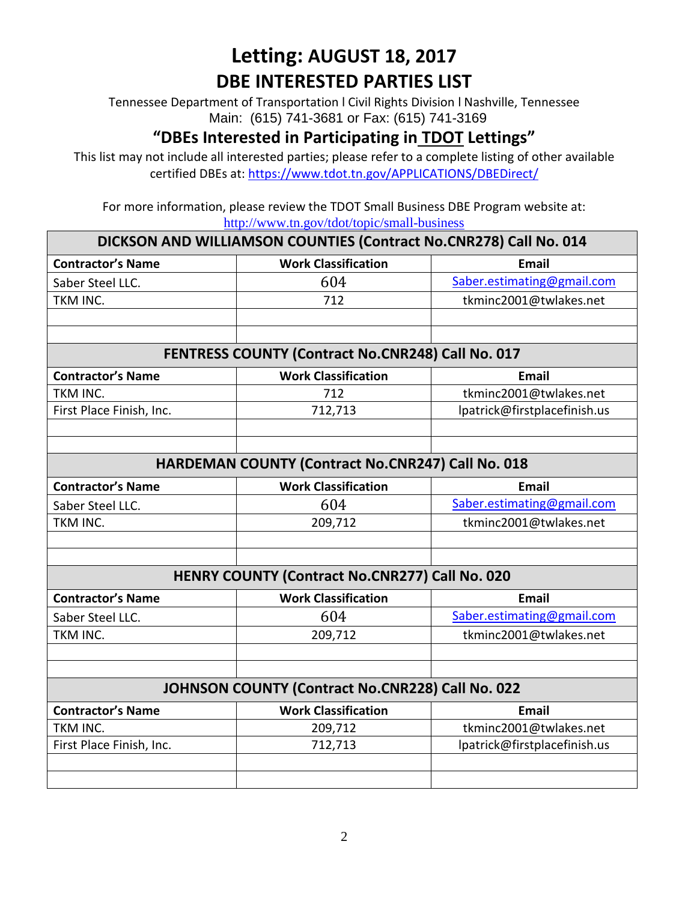Tennessee Department of Transportation l Civil Rights Division l Nashville, Tennessee Main: (615) 741-3681 or Fax: (615) 741-3169

#### **"DBEs Interested in Participating in TDOT Lettings"**

This list may not include all interested parties; please refer to a complete listing of other available certified DBEs at:<https://www.tdot.tn.gov/APPLICATIONS/DBEDirect/>

For more information, please review the TDOT Small Business DBE Program website at: <http://www.tn.gov/tdot/topic/small-business>

| DICKSON AND WILLIAMSON COUNTIES (Contract No.CNR278) Call No. 014 |                            |                              |  |  |
|-------------------------------------------------------------------|----------------------------|------------------------------|--|--|
| <b>Contractor's Name</b>                                          | <b>Work Classification</b> | Email                        |  |  |
| Saber Steel LLC.                                                  | 604                        | Saber.estimating@gmail.com   |  |  |
| TKM INC.                                                          | 712                        | tkminc2001@twlakes.net       |  |  |
|                                                                   |                            |                              |  |  |
|                                                                   |                            |                              |  |  |
| <b>FENTRESS COUNTY (Contract No.CNR248) Call No. 017</b>          |                            |                              |  |  |
| <b>Contractor's Name</b>                                          | <b>Work Classification</b> | <b>Email</b>                 |  |  |
| TKM INC.                                                          | 712                        | tkminc2001@twlakes.net       |  |  |
| First Place Finish, Inc.                                          | 712,713                    | lpatrick@firstplacefinish.us |  |  |
|                                                                   |                            |                              |  |  |
|                                                                   |                            |                              |  |  |
| HARDEMAN COUNTY (Contract No.CNR247) Call No. 018                 |                            |                              |  |  |
| <b>Contractor's Name</b>                                          | <b>Work Classification</b> | <b>Email</b>                 |  |  |
| Saber Steel LLC.                                                  | 604                        | Saber.estimating@gmail.com   |  |  |
| TKM INC.                                                          | 209,712                    | tkminc2001@twlakes.net       |  |  |
|                                                                   |                            |                              |  |  |
|                                                                   |                            |                              |  |  |
| HENRY COUNTY (Contract No.CNR277) Call No. 020                    |                            |                              |  |  |
| <b>Contractor's Name</b>                                          | <b>Work Classification</b> | <b>Email</b>                 |  |  |
| Saber Steel LLC.                                                  | 604                        | Saber.estimating@gmail.com   |  |  |
| TKM INC.                                                          | 209,712                    | tkminc2001@twlakes.net       |  |  |
|                                                                   |                            |                              |  |  |
|                                                                   |                            |                              |  |  |
| JOHNSON COUNTY (Contract No.CNR228) Call No. 022                  |                            |                              |  |  |
| <b>Contractor's Name</b>                                          | <b>Work Classification</b> | <b>Email</b>                 |  |  |
| TKM INC.                                                          | 209,712                    | tkminc2001@twlakes.net       |  |  |
| First Place Finish, Inc.                                          | 712,713                    | lpatrick@firstplacefinish.us |  |  |
|                                                                   |                            |                              |  |  |
|                                                                   |                            |                              |  |  |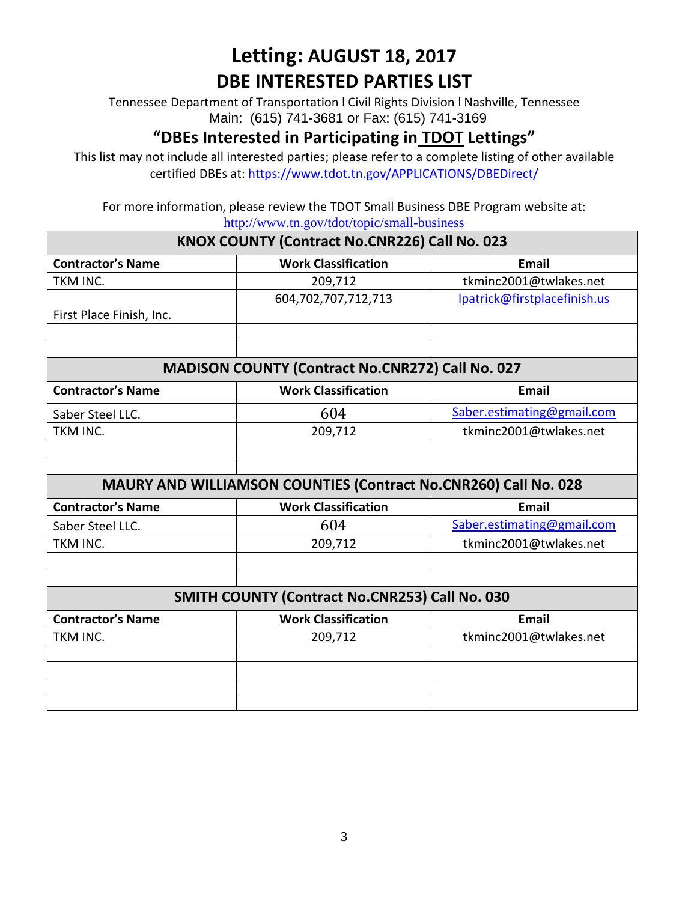Tennessee Department of Transportation l Civil Rights Division l Nashville, Tennessee Main: (615) 741-3681 or Fax: (615) 741-3169

#### **"DBEs Interested in Participating in TDOT Lettings"**

This list may not include all interested parties; please refer to a complete listing of other available certified DBEs at:<https://www.tdot.tn.gov/APPLICATIONS/DBEDirect/>

For more information, please review the TDOT Small Business DBE Program website at: <http://www.tn.gov/tdot/topic/small-business>

| KNOX COUNTY (Contract No.CNR226) Call No. 023                          |                            |                              |  |  |
|------------------------------------------------------------------------|----------------------------|------------------------------|--|--|
| <b>Contractor's Name</b>                                               | <b>Work Classification</b> | <b>Email</b>                 |  |  |
| TKM INC.                                                               | 209,712                    | tkminc2001@twlakes.net       |  |  |
|                                                                        | 604,702,707,712,713        | lpatrick@firstplacefinish.us |  |  |
| First Place Finish, Inc.                                               |                            |                              |  |  |
|                                                                        |                            |                              |  |  |
|                                                                        |                            |                              |  |  |
| <b>MADISON COUNTY (Contract No.CNR272) Call No. 027</b>                |                            |                              |  |  |
| <b>Contractor's Name</b>                                               | <b>Work Classification</b> | <b>Email</b>                 |  |  |
| Saber Steel LLC.                                                       | 604                        | Saber.estimating@gmail.com   |  |  |
| TKM INC.                                                               | 209,712                    | tkminc2001@twlakes.net       |  |  |
|                                                                        |                            |                              |  |  |
|                                                                        |                            |                              |  |  |
| <b>MAURY AND WILLIAMSON COUNTIES (Contract No.CNR260) Call No. 028</b> |                            |                              |  |  |
| <b>Contractor's Name</b>                                               | <b>Work Classification</b> | <b>Email</b>                 |  |  |
| Saber Steel LLC.                                                       | 604                        | Saber.estimating@gmail.com   |  |  |
| TKM INC.                                                               | 209,712                    | tkminc2001@twlakes.net       |  |  |
|                                                                        |                            |                              |  |  |
|                                                                        |                            |                              |  |  |
| SMITH COUNTY (Contract No.CNR253) Call No. 030                         |                            |                              |  |  |
| <b>Contractor's Name</b>                                               | <b>Work Classification</b> | <b>Email</b>                 |  |  |
| TKM INC.                                                               | 209,712                    | tkminc2001@twlakes.net       |  |  |
|                                                                        |                            |                              |  |  |
|                                                                        |                            |                              |  |  |
|                                                                        |                            |                              |  |  |
|                                                                        |                            |                              |  |  |